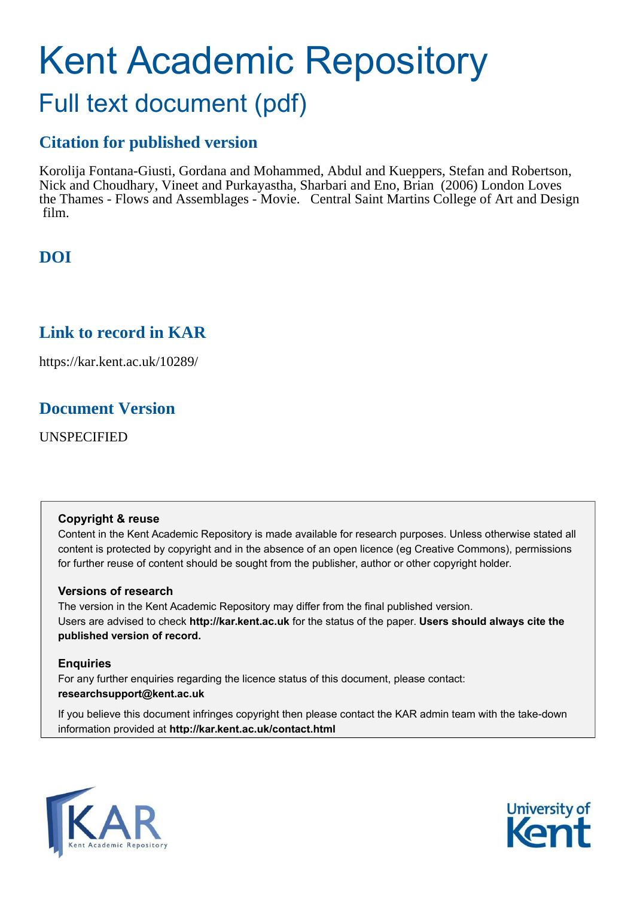## Kent Academic Repository Full text document (pdf)

## **Citation for published version**

Korolija Fontana-Giusti, Gordana and Mohammed, Abdul and Kueppers, Stefan and Robertson, Nick and Choudhary, Vineet and Purkayastha, Sharbari and Eno, Brian (2006) London Loves the Thames - Flows and Assemblages - Movie. Central Saint Martins College of Art and Design film.

## **DOI**

## **Link to record in KAR**

https://kar.kent.ac.uk/10289/

## **Document Version**

UNSPECIFIED

#### **Copyright & reuse**

Content in the Kent Academic Repository is made available for research purposes. Unless otherwise stated all content is protected by copyright and in the absence of an open licence (eg Creative Commons), permissions for further reuse of content should be sought from the publisher, author or other copyright holder.

#### **Versions of research**

The version in the Kent Academic Repository may differ from the final published version. Users are advised to check **http://kar.kent.ac.uk** for the status of the paper. **Users should always cite the published version of record.**

#### **Enquiries**

For any further enquiries regarding the licence status of this document, please contact: **researchsupport@kent.ac.uk**

If you believe this document infringes copyright then please contact the KAR admin team with the take-down information provided at **http://kar.kent.ac.uk/contact.html**